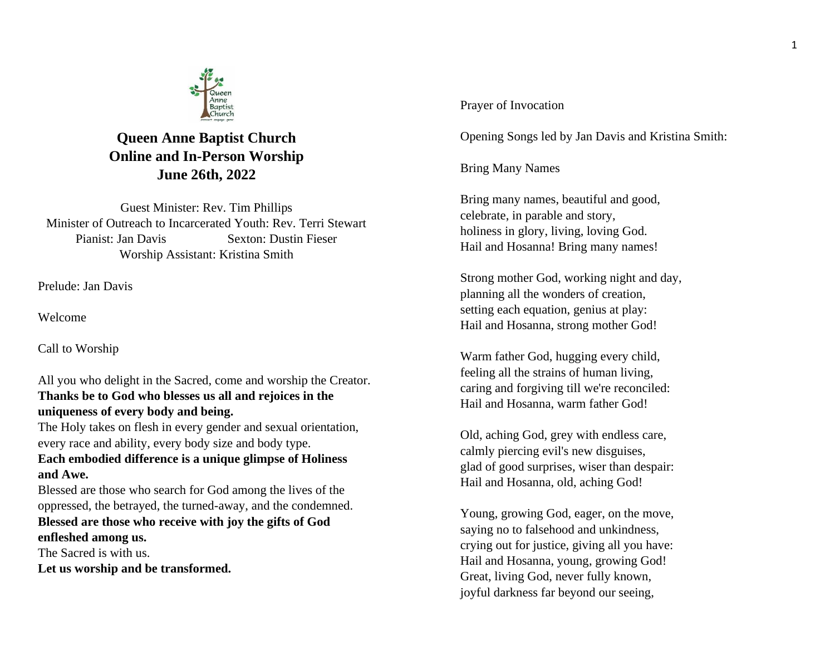

# **Queen Anne Baptist Church Online and In-Person Worship June 26th, 2022**

Guest Minister: Rev. Tim Phillips Minister of Outreach to Incarcerated Youth: Rev. Terri Stewart Pianist: Jan Davis Sexton: Dustin Fieser Worship Assistant: Kristina Smith

Prelude: Jan Davis

Welcome

Call to Worship

All you who delight in the Sacred, come and worship the Creator. **Thanks be to God who blesses us all and rejoices in the uniqueness of every body and being.**

The Holy takes on flesh in every gender and sexual orientation, every race and ability, every body size and body type.

# **Each embodied difference is a unique glimpse of Holiness and Awe.**

Blessed are those who search for God among the lives of the oppressed, the betrayed, the turned-away, and the condemned. **Blessed are those who receive with joy the gifts of God**

**enfleshed among us.**

The Sacred is with us.

**Let us worship and be transformed.**

Prayer of Invocation

Opening Songs led by Jan Davis and Kristina Smith:

Bring Many Names

Bring many names, beautiful and good, celebrate, in parable and story, holiness in glory, living, loving God. Hail and Hosanna! Bring many names!

Strong mother God, working night and day, planning all the wonders of creation, setting each equation, genius at play: Hail and Hosanna, strong mother God!

Warm father God, hugging every child, feeling all the strains of human living, caring and forgiving till we're reconciled: Hail and Hosanna, warm father God!

Old, aching God, grey with endless care, calmly piercing evil's new disguises, glad of good surprises, wiser than despair: Hail and Hosanna, old, aching God!

Young, growing God, eager, on the move, saying no to falsehood and unkindness, crying out for justice, giving all you have: Hail and Hosanna, young, growing God! Great, living God, never fully known, joyful darkness far beyond our seeing,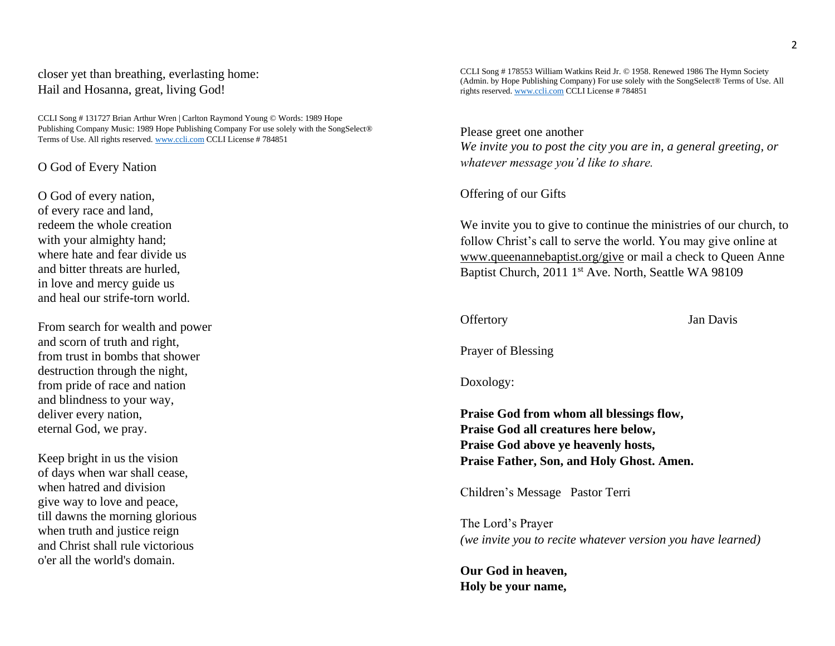closer yet than breathing, everlasting home: Hail and Hosanna, great, living God!

CCLI Song # 131727 Brian Arthur Wren | Carlton Raymond Young © Words: 1989 Hope Publishing Company Music: 1989 Hope Publishing Company For use solely with the SongSelect® Terms of Use. All rights reserved[. www.ccli.com](http://www.ccli.com/) CCLI License # 784851

#### O God of Every Nation

O God of every nation, of every race and land, redeem the whole creation with your almighty hand; where hate and fear divide us and bitter threats are hurled, in love and mercy guide us and heal our strife-torn world.

From search for wealth and power and scorn of truth and right, from trust in bombs that shower destruction through the night, from pride of race and nation and blindness to your way, deliver every nation, eternal God, we pray.

Keep bright in us the vision of days when war shall cease, when hatred and division give way to love and peace, till dawns the morning glorious when truth and justice reign and Christ shall rule victorious o'er all the world's domain.

CCLI Song # 178553 William Watkins Reid Jr. © 1958. Renewed 1986 The Hymn Society (Admin. by Hope Publishing Company) For use solely with the SongSelect® Terms of Use. All rights reserved. [www.ccli.com](http://www.ccli.com/) CCLI License # 784851

Please greet one another *We invite you to post the city you are in, a general greeting, or whatever message you'd like to share.*

Offering of our Gifts

We invite you to give to continue the ministries of our church, to follow Christ's call to serve the world. You may give online at [www.queenannebaptist.org/give](http://www.queenannebaptist.org/give) or mail a check to Queen Anne Baptist Church, 2011 1<sup>st</sup> Ave. North, Seattle WA 98109

Offertory Jan Davis

Prayer of Blessing

Doxology:

**Praise God from whom all blessings flow, Praise God all creatures here below, Praise God above ye heavenly hosts, Praise Father, Son, and Holy Ghost. Amen.**

Children's Message Pastor Terri

The Lord's Prayer *(we invite you to recite whatever version you have learned)*

**Our God in heaven, Holy be your name,**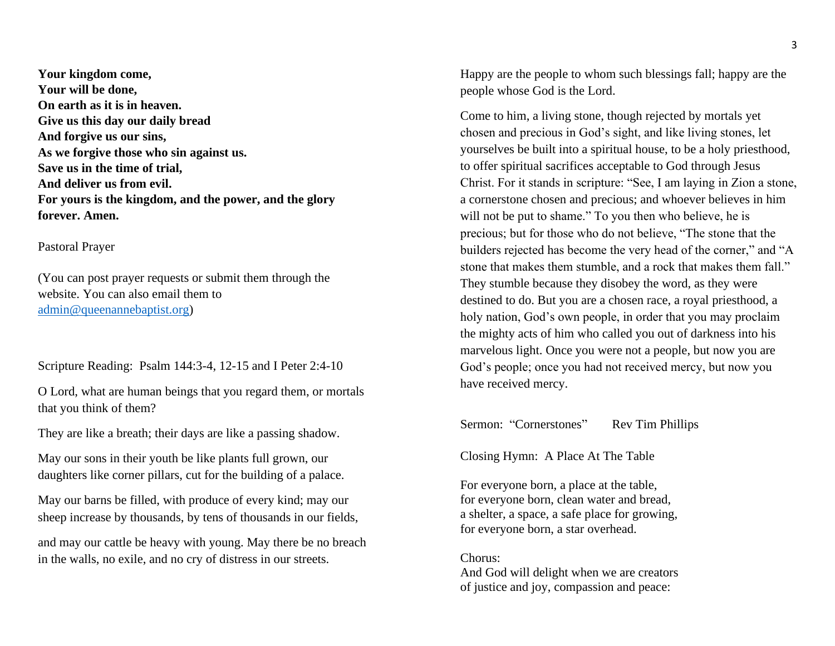**Your kingdom come, Your will be done, On earth as it is in heaven. Give us this day our daily bread And forgive us our sins, As we forgive those who sin against us. Save us in the time of trial, And deliver us from evil. For yours is the kingdom, and the power, and the glory forever. Amen.**

#### Pastoral Prayer

(You can post prayer requests or submit them through the website. You can also email them to [admin@queenannebaptist.org\)](mailto:admin@queenannebaptist.org)

Scripture Reading: Psalm 144:3-4, 12-15 and I Peter 2:4-10

O Lord, what are human beings that you regard them, or mortals that you think of them?

They are like a breath; their days are like a passing shadow.

May our sons in their youth be like plants full grown, our daughters like corner pillars, cut for the building of a palace.

May our barns be filled, with produce of every kind; may our sheep increase by thousands, by tens of thousands in our fields,

and may our cattle be heavy with young. May there be no breach in the walls, no exile, and no cry of distress in our streets.

Happy are the people to whom such blessings fall; happy are the people whose God is the Lord.

Come to him, a living stone, though rejected by mortals yet chosen and precious in God's sight, and like living stones, let yourselves be built into a spiritual house, to be a holy priesthood, to offer spiritual sacrifices acceptable to God through Jesus Christ. For it stands in scripture: "See, I am laying in Zion a stone, a cornerstone chosen and precious; and whoever believes in him will not be put to shame." To you then who believe, he is precious; but for those who do not believe, "The stone that the builders rejected has become the very head of the corner," and "A stone that makes them stumble, and a rock that makes them fall." They stumble because they disobey the word, as they were destined to do. But you are a chosen race, a royal priesthood, a holy nation, God's own people, in order that you may proclaim the mighty acts of him who called you out of darkness into his marvelous light. Once you were not a people, but now you are God's people; once you had not received mercy, but now you have received mercy.

Sermon: "Cornerstones" Rev Tim Phillips

Closing Hymn: A Place At The Table

For everyone born, a place at the table, for everyone born, clean water and bread, a shelter, a space, a safe place for growing, for everyone born, a star overhead.

#### Chorus:

And God will delight when we are creators of justice and joy, compassion and peace: